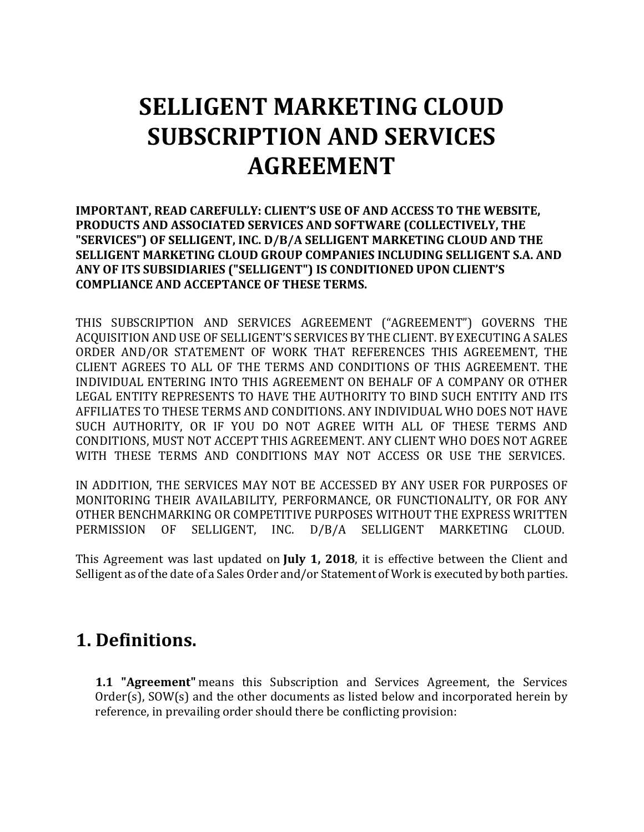# **SELLIGENT MARKETING CLOUD SUBSCRIPTION AND SERVICES AGREEMENT**

**IMPORTANT, READ CAREFULLY: CLIENT'S USE OF AND ACCESS TO THE WEBSITE, PRODUCTS AND ASSOCIATED SERVICES AND SOFTWARE (COLLECTIVELY, THE "SERVICES") OF SELLIGENT, INC. D/B/A SELLIGENT MARKETING CLOUD AND THE SELLIGENT MARKETING CLOUD GROUP COMPANIES INCLUDING SELLIGENT S.A. AND ANY OF ITS SUBSIDIARIES ("SELLIGENT") IS CONDITIONED UPON CLIENT'S COMPLIANCE AND ACCEPTANCE OF THESE TERMS.** 

THIS SUBSCRIPTION AND SERVICES AGREEMENT ("AGREEMENT") GOVERNS THE ACQUISITION AND USE OF SELLIGENT'S SERVICES BY THE CLIENT. BY EXECUTING A SALES ORDER AND/OR STATEMENT OF WORK THAT REFERENCES THIS AGREEMENT, THE CLIENT AGREES TO ALL OF THE TERMS AND CONDITIONS OF THIS AGREEMENT. THE INDIVIDUAL ENTERING INTO THIS AGREEMENT ON BEHALF OF A COMPANY OR OTHER LEGAL ENTITY REPRESENTS TO HAVE THE AUTHORITY TO BIND SUCH ENTITY AND ITS AFFILIATES TO THESE TERMS AND CONDITIONS. ANY INDIVIDUAL WHO DOES NOT HAVE SUCH AUTHORITY, OR IF YOU DO NOT AGREE WITH ALL OF THESE TERMS AND CONDITIONS, MUST NOT ACCEPT THIS AGREEMENT. ANY CLIENT WHO DOES NOT AGREE WITH THESE TERMS AND CONDITIONS MAY NOT ACCESS OR USE THE SERVICES.

IN ADDITION, THE SERVICES MAY NOT BE ACCESSED BY ANY USER FOR PURPOSES OF MONITORING THEIR AVAILABILITY, PERFORMANCE, OR FUNCTIONALITY, OR FOR ANY OTHER BENCHMARKING OR COMPETITIVE PURPOSES WITHOUT THE EXPRESS WRITTEN PERMISSION OF SELLIGENT, INC. D/B/A SELLIGENT MARKETING CLOUD.

This Agreement was last updated on **July 1, 2018**, it is effective between the Client and Selligent as of the date of a Sales Order and/or Statement of Work is executed by both parties.

## **1. Definitions.**

**1.1 "Agreement"** means this Subscription and Services Agreement, the Services Order(s), SOW(s) and the other documents as listed below and incorporated herein by reference, in prevailing order should there be conflicting provision: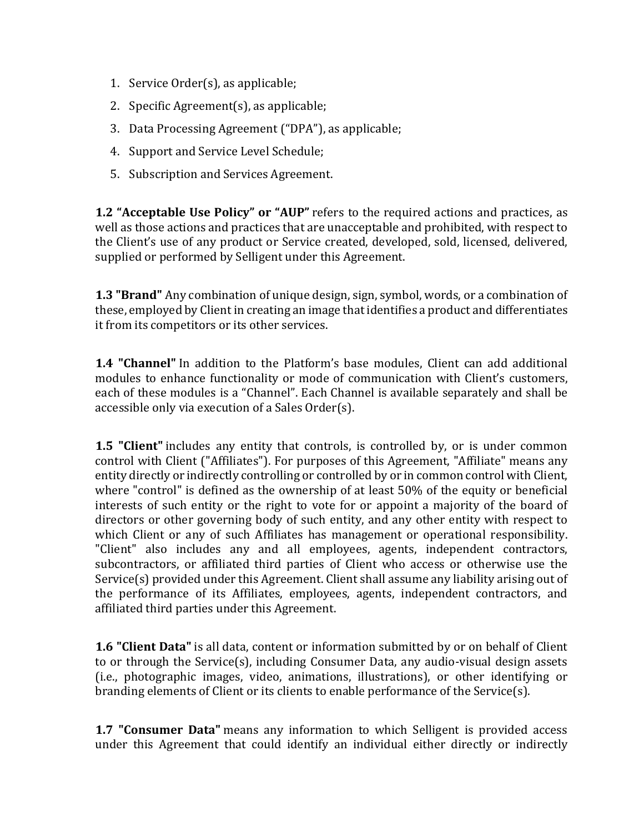- 1. Service Order(s), as applicable;
- 2. Specific Agreement(s), as applicable;
- 3. Data Processing Agreement ("DPA"), as applicable;
- 4. Support and Service Level Schedule;
- 5. Subscription and Services Agreement.

**1.2 "Acceptable Use Policy" or "AUP"** refers to the required actions and practices, as well as those actions and practices that are unacceptable and prohibited, with respect to the Client's use of any product or Service created, developed, sold, licensed, delivered, supplied or performed by Selligent under this Agreement.

**1.3 "Brand"** Any combination of unique design, sign, symbol, words, or a combination of these, employed by Client in creating an image that identifies a product and differentiates it from its competitors or its other services.

**1.4 "Channel"** In addition to the Platform's base modules, Client can add additional modules to enhance functionality or mode of communication with Client's customers, each of these modules is a "Channel". Each Channel is available separately and shall be accessible only via execution of a Sales Order(s).

**1.5 "Client"** includes any entity that controls, is controlled by, or is under common control with Client ("Affiliates"). For purposes of this Agreement, "Affiliate" means any entity directly or indirectly controlling or controlled by or in common control with Client, where "control" is defined as the ownership of at least 50% of the equity or beneficial interests of such entity or the right to vote for or appoint a majority of the board of directors or other governing body of such entity, and any other entity with respect to which Client or any of such Affiliates has management or operational responsibility. "Client" also includes any and all employees, agents, independent contractors, subcontractors, or affiliated third parties of Client who access or otherwise use the Service(s) provided under this Agreement. Client shall assume any liability arising out of the performance of its Affiliates, employees, agents, independent contractors, and affiliated third parties under this Agreement.

**1.6 "Client Data"** is all data, content or information submitted by or on behalf of Client to or through the Service(s), including Consumer Data, any audio-visual design assets (i.e., photographic images, video, animations, illustrations), or other identifying or branding elements of Client or its clients to enable performance of the Service(s).

**1.7 "Consumer Data"** means any information to which Selligent is provided access under this Agreement that could identify an individual either directly or indirectly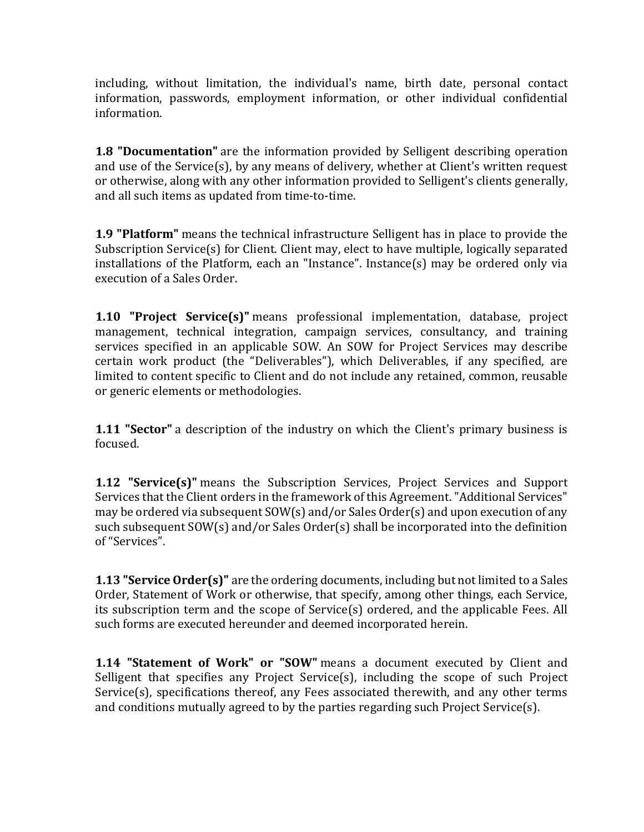including, without limitation, the individual's name, birth date, personal contact information, passwords, employment information, or other individual confidential information.

**1.8 "Documentation"** are the information provided by Selligent describing operation and use of the Service(s), by any means of delivery, whether at Client's written request or otherwise, along with any other information provided to Selligent's clients generally, and all such items as updated from time-to-time.

**1.9 "Platform"** means the technical infrastructure Selligent has in place to provide the Subscription Service(s) for Client. Client may, elect to have multiple, logically separated installations of the Platform, each an "Instance". Instance(s) may be ordered only via execution of a Sales Order.

**1.10 "Project Service(s)"** means professional implementation, database, project management, technical integration, campaign services, consultancy, and training services specified in an applicable SOW. An SOW for Project Services may describe certain work product (the "Deliverables"), which Deliverables, if any specified, are limited to content specific to Client and do not include any retained, common, reusable or generic elements or methodologies.

**1.11 "Sector"** a description of the industry on which the Client's primary business is focused.

**1.12 "Service(s)"** means the Subscription Services, Project Services and Support Services that the Client orders in the framework of this Agreement. "Additional Services" may be ordered via subsequent SOW(s) and/or Sales Order(s) and upon execution of any such subsequent SOW(s) and/or Sales Order(s) shall be incorporated into the definition of "Services".

**1.13 "Service Order(s)"** are the ordering documents, including but not limited to a Sales Order, Statement of Work or otherwise, that specify, among other things, each Service, its subscription term and the scope of Service(s) ordered, and the applicable Fees. All such forms are executed hereunder and deemed incorporated herein.

**1.14 "Statement of Work" or "SOW"** means a document executed by Client and Selligent that specifies any Project Service(s), including the scope of such Project Service(s), specifications thereof, any Fees associated therewith, and any other terms and conditions mutually agreed to by the parties regarding such Project Service(s).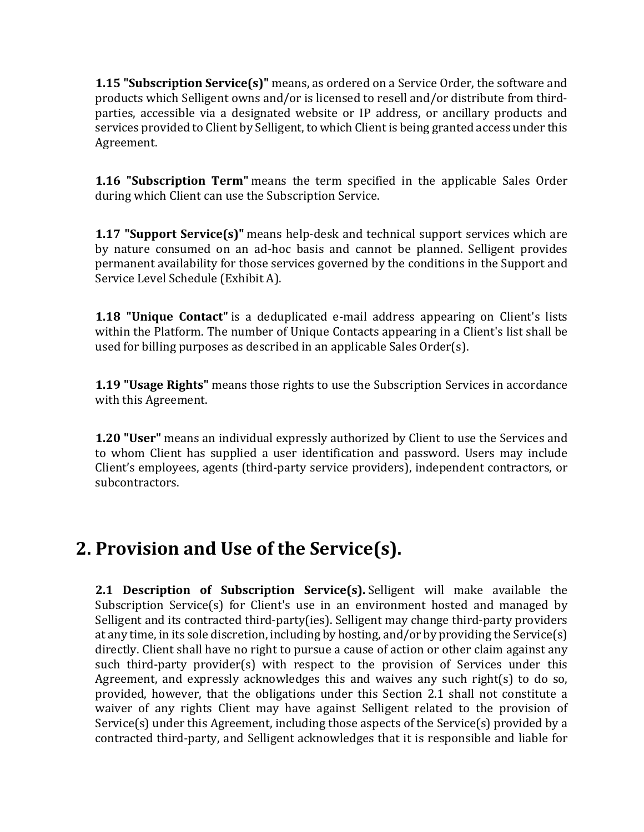**1.15 "Subscription Service(s)"** means, as ordered on a Service Order, the software and products which Selligent owns and/or is licensed to resell and/or distribute from thirdparties, accessible via a designated website or IP address, or ancillary products and services provided to Client by Selligent, to which Client is being granted access under this Agreement.

**1.16 "Subscription Term"** means the term specified in the applicable Sales Order during which Client can use the Subscription Service.

**1.17 "Support Service(s)"** means help-desk and technical support services which are by nature consumed on an ad-hoc basis and cannot be planned. Selligent provides permanent availability for those services governed by the conditions in the Support and Service Level Schedule (Exhibit A).

**1.18 "Unique Contact"** is a deduplicated e-mail address appearing on Client's lists within the Platform. The number of Unique Contacts appearing in a Client's list shall be used for billing purposes as described in an applicable Sales Order(s).

**1.19 "Usage Rights"** means those rights to use the Subscription Services in accordance with this Agreement.

**1.20 "User"** means an individual expressly authorized by Client to use the Services and to whom Client has supplied a user identification and password. Users may include Client's employees, agents (third-party service providers), independent contractors, or subcontractors.

## **2. Provision and Use of the Service(s).**

**2.1 Description of Subscription Service(s).** Selligent will make available the Subscription Service(s) for Client's use in an environment hosted and managed by Selligent and its contracted third-party(ies). Selligent may change third-party providers at any time, in its sole discretion, including by hosting, and/or by providing the Service(s) directly. Client shall have no right to pursue a cause of action or other claim against any such third-party provider(s) with respect to the provision of Services under this Agreement, and expressly acknowledges this and waives any such right(s) to do so, provided, however, that the obligations under this Section 2.1 shall not constitute a waiver of any rights Client may have against Selligent related to the provision of Service(s) under this Agreement, including those aspects of the Service(s) provided by a contracted third-party, and Selligent acknowledges that it is responsible and liable for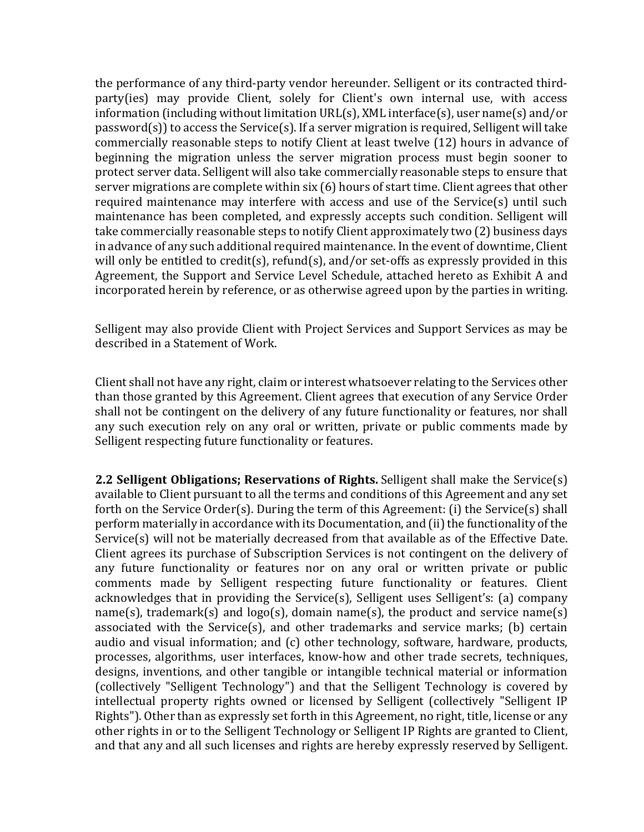the performance of any third-party vendor hereunder. Selligent or its contracted thirdparty(ies) may provide Client, solely for Client's own internal use, with access information (including without limitation URL(s), XML interface(s), user name(s) and/or password(s)) to access the Service(s). If a server migration is required, Selligent will take commercially reasonable steps to notify Client at least twelve (12) hours in advance of beginning the migration unless the server migration process must begin sooner to protect server data. Selligent will also take commercially reasonable steps to ensure that server migrations are complete within six (6) hours of start time. Client agrees that other required maintenance may interfere with access and use of the Service(s) until such maintenance has been completed, and expressly accepts such condition. Selligent will take commercially reasonable steps to notify Client approximately two (2) business days in advance of any such additional required maintenance. In the event of downtime, Client will only be entitled to credit(s), refund(s), and/or set-offs as expressly provided in this Agreement, the Support and Service Level Schedule, attached hereto as Exhibit A and incorporated herein by reference, or as otherwise agreed upon by the parties in writing.

Selligent may also provide Client with Project Services and Support Services as may be described in a Statement of Work.

Client shall not have any right, claim or interest whatsoever relating to the Services other than those granted by this Agreement. Client agrees that execution of any Service Order shall not be contingent on the delivery of any future functionality or features, nor shall any such execution rely on any oral or written, private or public comments made by Selligent respecting future functionality or features.

**2.2 Selligent Obligations; Reservations of Rights.** Selligent shall make the Service(s) available to Client pursuant to all the terms and conditions of this Agreement and any set forth on the Service Order(s). During the term of this Agreement: (i) the Service(s) shall perform materially in accordance with its Documentation, and (ii) the functionality of the Service(s) will not be materially decreased from that available as of the Effective Date. Client agrees its purchase of Subscription Services is not contingent on the delivery of any future functionality or features nor on any oral or written private or public comments made by Selligent respecting future functionality or features. Client acknowledges that in providing the Service(s), Selligent uses Selligent's: (a) company name(s), trademark(s) and logo(s), domain name(s), the product and service name(s) associated with the Service(s), and other trademarks and service marks; (b) certain audio and visual information; and (c) other technology, software, hardware, products, processes, algorithms, user interfaces, know-how and other trade secrets, techniques, designs, inventions, and other tangible or intangible technical material or information (collectively "Selligent Technology") and that the Selligent Technology is covered by intellectual property rights owned or licensed by Selligent (collectively "Selligent IP Rights"). Other than as expressly set forth in this Agreement, no right, title, license or any other rights in or to the Selligent Technology or Selligent IP Rights are granted to Client, and that any and all such licenses and rights are hereby expressly reserved by Selligent.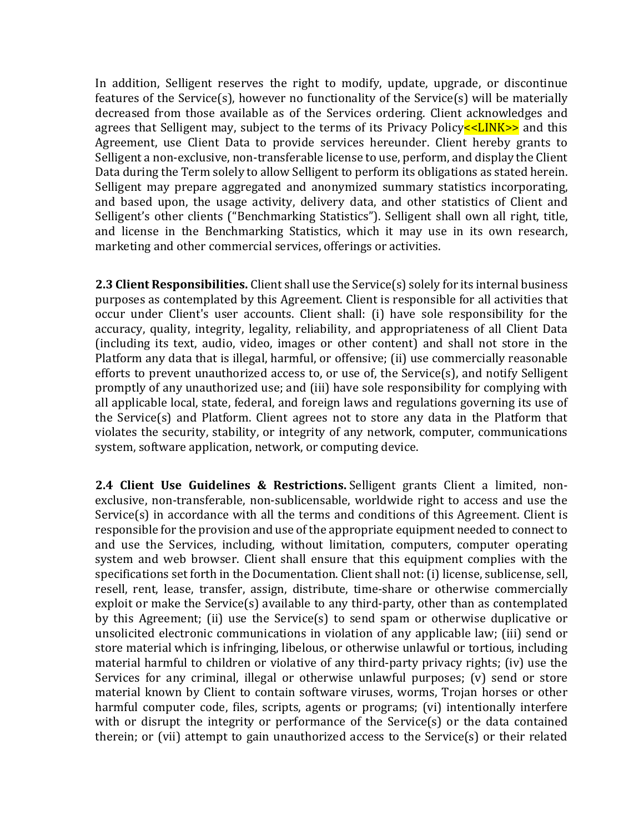In addition, Selligent reserves the right to modify, update, upgrade, or discontinue features of the Service(s), however no functionality of the Service(s) will be materially decreased from those available as of the Services ordering. Client acknowledges and agrees that Selligent may, subject to the terms of its Privacy Policy  $\leq$ LINK $\geq$  and this Agreement, use Client Data to provide services hereunder. Client hereby grants to Selligent a non-exclusive, non-transferable license to use, perform, and display the Client Data during the Term solely to allow Selligent to perform its obligations as stated herein. Selligent may prepare aggregated and anonymized summary statistics incorporating, and based upon, the usage activity, delivery data, and other statistics of Client and Selligent's other clients ("Benchmarking Statistics"). Selligent shall own all right, title, and license in the Benchmarking Statistics, which it may use in its own research, marketing and other commercial services, offerings or activities.

**2.3 Client Responsibilities.** Client shall use the Service(s) solely for its internal business purposes as contemplated by this Agreement. Client is responsible for all activities that occur under Client's user accounts. Client shall: (i) have sole responsibility for the accuracy, quality, integrity, legality, reliability, and appropriateness of all Client Data (including its text, audio, video, images or other content) and shall not store in the Platform any data that is illegal, harmful, or offensive; (ii) use commercially reasonable efforts to prevent unauthorized access to, or use of, the Service(s), and notify Selligent promptly of any unauthorized use; and (iii) have sole responsibility for complying with all applicable local, state, federal, and foreign laws and regulations governing its use of the Service(s) and Platform. Client agrees not to store any data in the Platform that violates the security, stability, or integrity of any network, computer, communications system, software application, network, or computing device.

**2.4 Client Use Guidelines & Restrictions.** Selligent grants Client a limited, nonexclusive, non-transferable, non-sublicensable, worldwide right to access and use the Service(s) in accordance with all the terms and conditions of this Agreement. Client is responsible for the provision and use of the appropriate equipment needed to connect to and use the Services, including, without limitation, computers, computer operating system and web browser. Client shall ensure that this equipment complies with the specifications set forth in the Documentation. Client shall not: (i) license, sublicense, sell, resell, rent, lease, transfer, assign, distribute, time-share or otherwise commercially exploit or make the Service(s) available to any third-party, other than as contemplated by this Agreement; (ii) use the Service(s) to send spam or otherwise duplicative or unsolicited electronic communications in violation of any applicable law; (iii) send or store material which is infringing, libelous, or otherwise unlawful or tortious, including material harmful to children or violative of any third-party privacy rights; (iv) use the Services for any criminal, illegal or otherwise unlawful purposes; (v) send or store material known by Client to contain software viruses, worms, Trojan horses or other harmful computer code, files, scripts, agents or programs; (vi) intentionally interfere with or disrupt the integrity or performance of the Service(s) or the data contained therein; or (vii) attempt to gain unauthorized access to the Service(s) or their related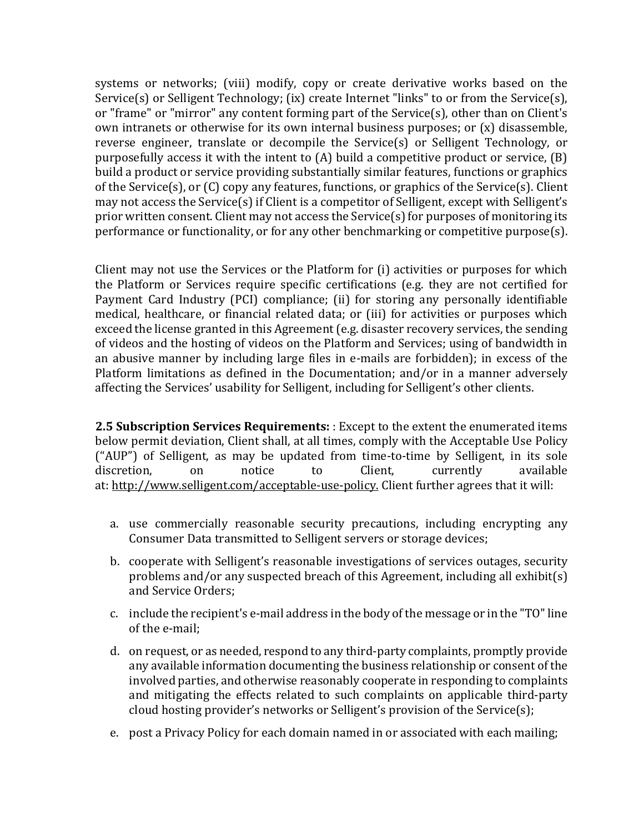systems or networks; (viii) modify, copy or create derivative works based on the Service(s) or Selligent Technology; (ix) create Internet "links" to or from the Service(s), or "frame" or "mirror" any content forming part of the Service(s), other than on Client's own intranets or otherwise for its own internal business purposes; or  $(x)$  disassemble, reverse engineer, translate or decompile the Service(s) or Selligent Technology, or purposefully access it with the intent to (A) build a competitive product or service, (B) build a product or service providing substantially similar features, functions or graphics of the Service(s), or (C) copy any features, functions, or graphics of the Service(s). Client may not access the Service(s) if Client is a competitor of Selligent, except with Selligent's prior written consent. Client may not access the Service(s) for purposes of monitoring its performance or functionality, or for any other benchmarking or competitive purpose(s).

Client may not use the Services or the Platform for (i) activities or purposes for which the Platform or Services require specific certifications (e.g. they are not certified for Payment Card Industry (PCI) compliance; (ii) for storing any personally identifiable medical, healthcare, or financial related data; or (iii) for activities or purposes which exceed the license granted in this Agreement (e.g. disaster recovery services, the sending of videos and the hosting of videos on the Platform and Services; using of bandwidth in an abusive manner by including large files in e-mails are forbidden); in excess of the Platform limitations as defined in the Documentation; and/or in a manner adversely affecting the Services' usability for Selligent, including for Selligent's other clients.

**2.5 Subscription Services Requirements:** : Except to the extent the enumerated items below permit deviation, Client shall, at all times, comply with the Acceptable Use Policy ("AUP") of Selligent, as may be updated from time-to-time by Selligent, in its sole discretion, on notice to Client, currently available at: http://www.selligent.com/acceptable-use-policy. Client further agrees that it will:

- a. use commercially reasonable security precautions, including encrypting any Consumer Data transmitted to Selligent servers or storage devices;
- b. cooperate with Selligent's reasonable investigations of services outages, security problems and/or any suspected breach of this Agreement, including all exhibit(s) and Service Orders;
- c. include the recipient's e-mail address in the body of the message or in the "TO" line of the e-mail;
- d. on request, or as needed, respond to any third-party complaints, promptly provide any available information documenting the business relationship or consent of the involved parties, and otherwise reasonably cooperate in responding to complaints and mitigating the effects related to such complaints on applicable third-party cloud hosting provider's networks or Selligent's provision of the Service(s);
- e. post a Privacy Policy for each domain named in or associated with each mailing;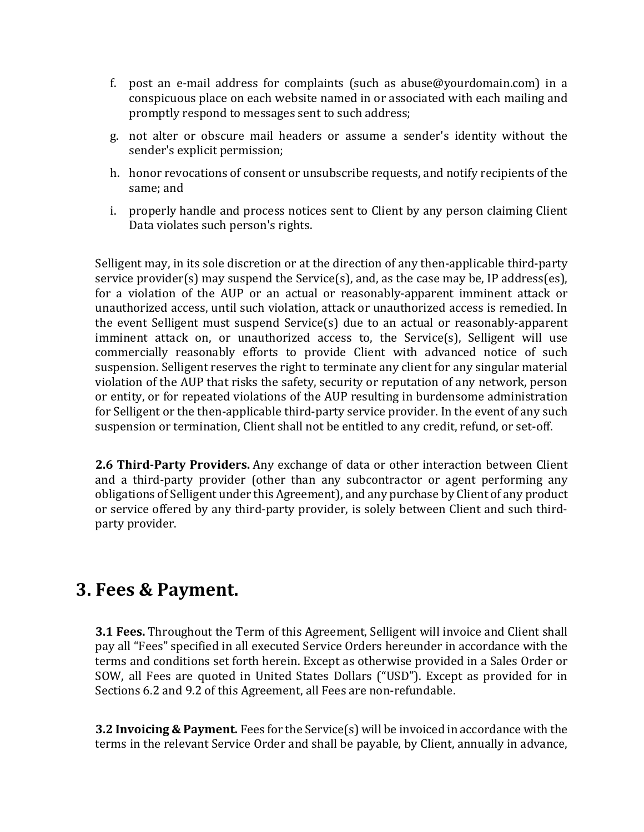- f. post an e-mail address for complaints (such as abuse  $@$  yourdomain.com) in a conspicuous place on each website named in or associated with each mailing and promptly respond to messages sent to such address;
- g. not alter or obscure mail headers or assume a sender's identity without the sender's explicit permission;
- h. honor revocations of consent or unsubscribe requests, and notify recipients of the same; and
- i. properly handle and process notices sent to Client by any person claiming Client Data violates such person's rights.

Selligent may, in its sole discretion or at the direction of any then-applicable third-party service provider(s) may suspend the Service(s), and, as the case may be, IP address(es), for a violation of the AUP or an actual or reasonably-apparent imminent attack or unauthorized access, until such violation, attack or unauthorized access is remedied. In the event Selligent must suspend Service(s) due to an actual or reasonably-apparent imminent attack on, or unauthorized access to, the Service(s), Selligent will use commercially reasonably efforts to provide Client with advanced notice of such suspension. Selligent reserves the right to terminate any client for any singular material violation of the AUP that risks the safety, security or reputation of any network, person or entity, or for repeated violations of the AUP resulting in burdensome administration for Selligent or the then-applicable third-party service provider. In the event of any such suspension or termination, Client shall not be entitled to any credit, refund, or set-off.

**2.6 Third-Party Providers.** Any exchange of data or other interaction between Client and a third-party provider (other than any subcontractor or agent performing any obligations of Selligent under this Agreement), and any purchase by Client of any product or service offered by any third-party provider, is solely between Client and such thirdparty provider.

### **3. Fees & Payment.**

**3.1 Fees.** Throughout the Term of this Agreement, Selligent will invoice and Client shall pay all "Fees" specified in all executed Service Orders hereunder in accordance with the terms and conditions set forth herein. Except as otherwise provided in a Sales Order or SOW, all Fees are quoted in United States Dollars ("USD"). Except as provided for in Sections 6.2 and 9.2 of this Agreement, all Fees are non-refundable.

**3.2 Invoicing & Payment.** Fees for the Service(s) will be invoiced in accordance with the terms in the relevant Service Order and shall be payable, by Client, annually in advance,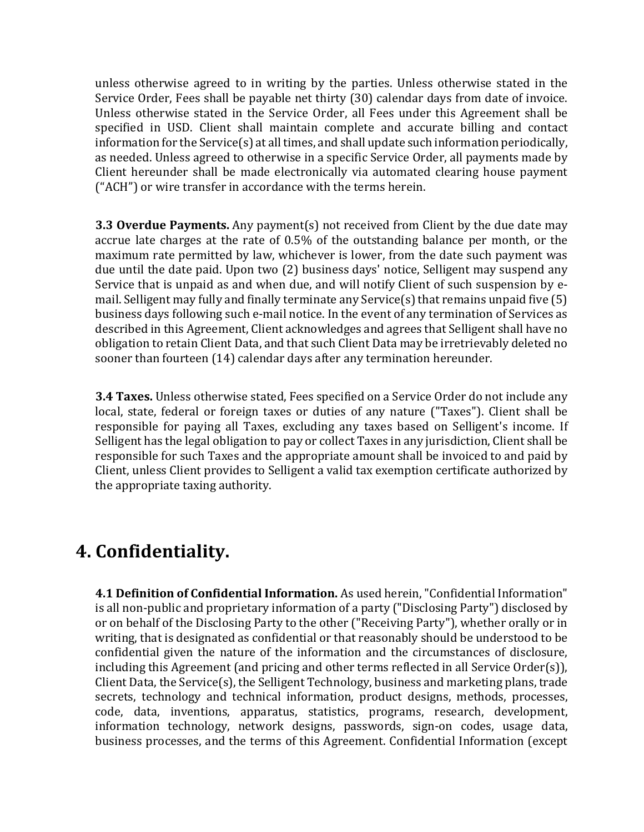unless otherwise agreed to in writing by the parties. Unless otherwise stated in the Service Order, Fees shall be payable net thirty (30) calendar days from date of invoice. Unless otherwise stated in the Service Order, all Fees under this Agreement shall be specified in USD. Client shall maintain complete and accurate billing and contact information for the Service(s) at all times, and shall update such information periodically, as needed. Unless agreed to otherwise in a specific Service Order, all payments made by Client hereunder shall be made electronically via automated clearing house payment ("ACH") or wire transfer in accordance with the terms herein.

**3.3 Overdue Payments.** Any payment(s) not received from Client by the due date may accrue late charges at the rate of 0.5% of the outstanding balance per month, or the maximum rate permitted by law, whichever is lower, from the date such payment was due until the date paid. Upon two (2) business days' notice, Selligent may suspend any Service that is unpaid as and when due, and will notify Client of such suspension by email. Selligent may fully and finally terminate any Service(s) that remains unpaid five (5) business days following such e-mail notice. In the event of any termination of Services as described in this Agreement, Client acknowledges and agrees that Selligent shall have no obligation to retain Client Data, and that such Client Data may be irretrievably deleted no sooner than fourteen (14) calendar days after any termination hereunder.

**3.4 Taxes.** Unless otherwise stated, Fees specified on a Service Order do not include any local, state, federal or foreign taxes or duties of any nature ("Taxes"). Client shall be responsible for paying all Taxes, excluding any taxes based on Selligent's income. If Selligent has the legal obligation to pay or collect Taxes in any jurisdiction, Client shall be responsible for such Taxes and the appropriate amount shall be invoiced to and paid by Client, unless Client provides to Selligent a valid tax exemption certificate authorized by the appropriate taxing authority.

### **4. Confidentiality.**

**4.1 Definition of Confidential Information.** As used herein, "Confidential Information" is all non-public and proprietary information of a party ("Disclosing Party") disclosed by or on behalf of the Disclosing Party to the other ("Receiving Party"), whether orally or in writing, that is designated as confidential or that reasonably should be understood to be confidential given the nature of the information and the circumstances of disclosure, including this Agreement (and pricing and other terms reflected in all Service Order(s)), Client Data, the Service(s), the Selligent Technology, business and marketing plans, trade secrets, technology and technical information, product designs, methods, processes, code, data, inventions, apparatus, statistics, programs, research, development, information technology, network designs, passwords, sign-on codes, usage data, business processes, and the terms of this Agreement. Confidential Information (except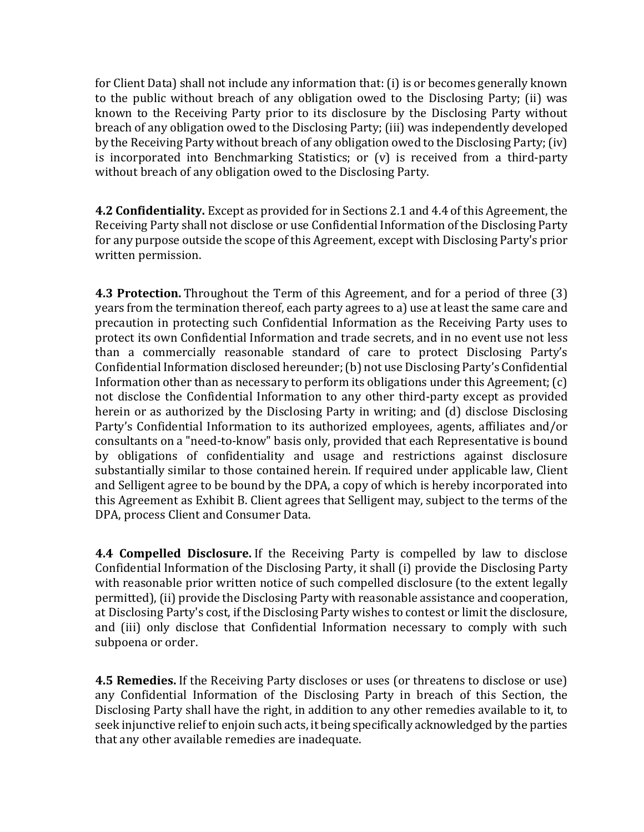for Client Data) shall not include any information that: (i) is or becomes generally known to the public without breach of any obligation owed to the Disclosing Party; (ii) was known to the Receiving Party prior to its disclosure by the Disclosing Party without breach of any obligation owed to the Disclosing Party; (iii) was independently developed by the Receiving Party without breach of any obligation owed to the Disclosing Party; (iv) is incorporated into Benchmarking Statistics; or (v) is received from a third-party without breach of any obligation owed to the Disclosing Party.

**4.2 Confidentiality.** Except as provided for in Sections 2.1 and 4.4 of this Agreement, the Receiving Party shall not disclose or use Confidential Information of the Disclosing Party for any purpose outside the scope of this Agreement, except with Disclosing Party's prior written permission.

**4.3 Protection.** Throughout the Term of this Agreement, and for a period of three (3) years from the termination thereof, each party agrees to a) use at least the same care and precaution in protecting such Confidential Information as the Receiving Party uses to protect its own Confidential Information and trade secrets, and in no event use not less than a commercially reasonable standard of care to protect Disclosing Party's Confidential Information disclosed hereunder; (b) not use Disclosing Party's Confidential Information other than as necessary to perform its obligations under this Agreement; (c) not disclose the Confidential Information to any other third-party except as provided herein or as authorized by the Disclosing Party in writing; and (d) disclose Disclosing Party's Confidential Information to its authorized employees, agents, affiliates and/or consultants on a "need-to-know" basis only, provided that each Representative is bound by obligations of confidentiality and usage and restrictions against disclosure substantially similar to those contained herein. If required under applicable law, Client and Selligent agree to be bound by the DPA, a copy of which is hereby incorporated into this Agreement as Exhibit B. Client agrees that Selligent may, subject to the terms of the DPA, process Client and Consumer Data.

**4.4 Compelled Disclosure.** If the Receiving Party is compelled by law to disclose Confidential Information of the Disclosing Party, it shall (i) provide the Disclosing Party with reasonable prior written notice of such compelled disclosure (to the extent legally permitted), (ii) provide the Disclosing Party with reasonable assistance and cooperation, at Disclosing Party's cost, if the Disclosing Party wishes to contest or limit the disclosure, and (iii) only disclose that Confidential Information necessary to comply with such subpoena or order.

**4.5 Remedies.** If the Receiving Party discloses or uses (or threatens to disclose or use) any Confidential Information of the Disclosing Party in breach of this Section, the Disclosing Party shall have the right, in addition to any other remedies available to it, to seek injunctive relief to enjoin such acts, it being specifically acknowledged by the parties that any other available remedies are inadequate.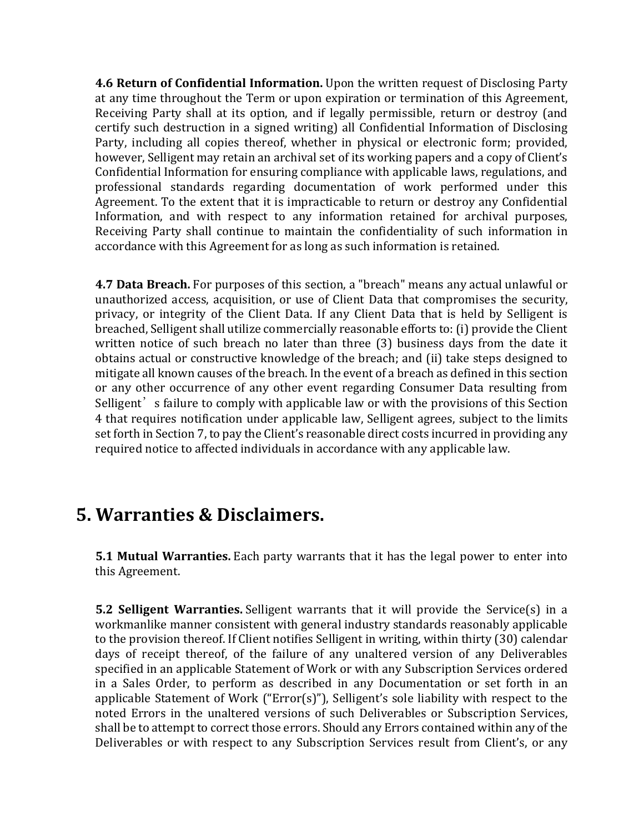**4.6 Return of Confidential Information.** Upon the written request of Disclosing Party at any time throughout the Term or upon expiration or termination of this Agreement, Receiving Party shall at its option, and if legally permissible, return or destroy (and certify such destruction in a signed writing) all Confidential Information of Disclosing Party, including all copies thereof, whether in physical or electronic form; provided, however, Selligent may retain an archival set of its working papers and a copy of Client's Confidential Information for ensuring compliance with applicable laws, regulations, and professional standards regarding documentation of work performed under this Agreement. To the extent that it is impracticable to return or destroy any Confidential Information, and with respect to any information retained for archival purposes, Receiving Party shall continue to maintain the confidentiality of such information in accordance with this Agreement for as long as such information is retained.

**4.7 Data Breach.** For purposes of this section, a "breach" means any actual unlawful or unauthorized access, acquisition, or use of Client Data that compromises the security, privacy, or integrity of the Client Data. If any Client Data that is held by Selligent is breached, Selligent shall utilize commercially reasonable efforts to: (i) provide the Client written notice of such breach no later than three (3) business days from the date it obtains actual or constructive knowledge of the breach; and (ii) take steps designed to mitigate all known causes of the breach. In the event of a breach as defined in this section or any other occurrence of any other event regarding Consumer Data resulting from Selligent's failure to comply with applicable law or with the provisions of this Section 4 that requires notification under applicable law, Selligent agrees, subject to the limits set forth in Section 7, to pay the Client's reasonable direct costs incurred in providing any required notice to affected individuals in accordance with any applicable law.

#### **5. Warranties & Disclaimers.**

**5.1 Mutual Warranties.** Each party warrants that it has the legal power to enter into this Agreement.

**5.2 Selligent Warranties.** Selligent warrants that it will provide the Service(s) in a workmanlike manner consistent with general industry standards reasonably applicable to the provision thereof. If Client notifies Selligent in writing, within thirty (30) calendar days of receipt thereof, of the failure of any unaltered version of any Deliverables specified in an applicable Statement of Work or with any Subscription Services ordered in a Sales Order, to perform as described in any Documentation or set forth in an applicable Statement of Work ("Error(s)"), Selligent's sole liability with respect to the noted Errors in the unaltered versions of such Deliverables or Subscription Services, shall be to attempt to correct those errors. Should any Errors contained within any of the Deliverables or with respect to any Subscription Services result from Client's, or any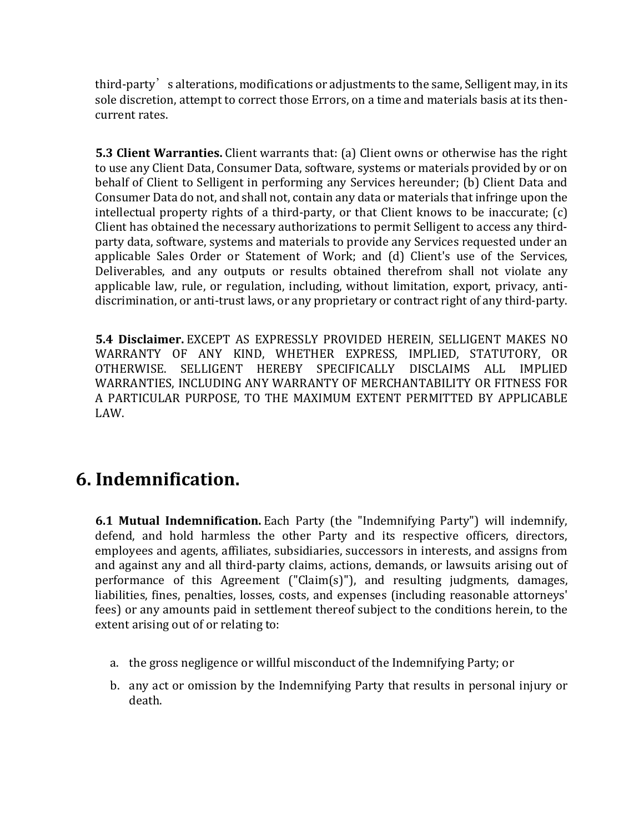third-party's alterations, modifications or adjustments to the same, Selligent may, in its sole discretion, attempt to correct those Errors, on a time and materials basis at its thencurrent rates.

**5.3 Client Warranties.** Client warrants that: (a) Client owns or otherwise has the right to use any Client Data, Consumer Data, software, systems or materials provided by or on behalf of Client to Selligent in performing any Services hereunder; (b) Client Data and Consumer Data do not, and shall not, contain any data or materials that infringe upon the intellectual property rights of a third-party, or that Client knows to be inaccurate; (c) Client has obtained the necessary authorizations to permit Selligent to access any thirdparty data, software, systems and materials to provide any Services requested under an applicable Sales Order or Statement of Work; and (d) Client's use of the Services, Deliverables, and any outputs or results obtained therefrom shall not violate any applicable law, rule, or regulation, including, without limitation, export, privacy, antidiscrimination, or anti-trust laws, or any proprietary or contract right of any third-party.

**5.4 Disclaimer.** EXCEPT AS EXPRESSLY PROVIDED HEREIN, SELLIGENT MAKES NO WARRANTY OF ANY KIND, WHETHER EXPRESS, IMPLIED, STATUTORY, OR OTHERWISE. SELLIGENT HEREBY SPECIFICALLY DISCLAIMS ALL IMPLIED WARRANTIES, INCLUDING ANY WARRANTY OF MERCHANTABILITY OR FITNESS FOR A PARTICULAR PURPOSE, TO THE MAXIMUM EXTENT PERMITTED BY APPLICABLE LAW.

### **6. Indemnification.**

**6.1 Mutual Indemnification.** Each Party (the "Indemnifying Party") will indemnify, defend, and hold harmless the other Party and its respective officers, directors, employees and agents, affiliates, subsidiaries, successors in interests, and assigns from and against any and all third-party claims, actions, demands, or lawsuits arising out of performance of this Agreement ("Claim(s)"), and resulting judgments, damages, liabilities, fines, penalties, losses, costs, and expenses (including reasonable attorneys' fees) or any amounts paid in settlement thereof subject to the conditions herein, to the extent arising out of or relating to:

- a. the gross negligence or willful misconduct of the Indemnifying Party; or
- b. any act or omission by the Indemnifying Party that results in personal injury or death.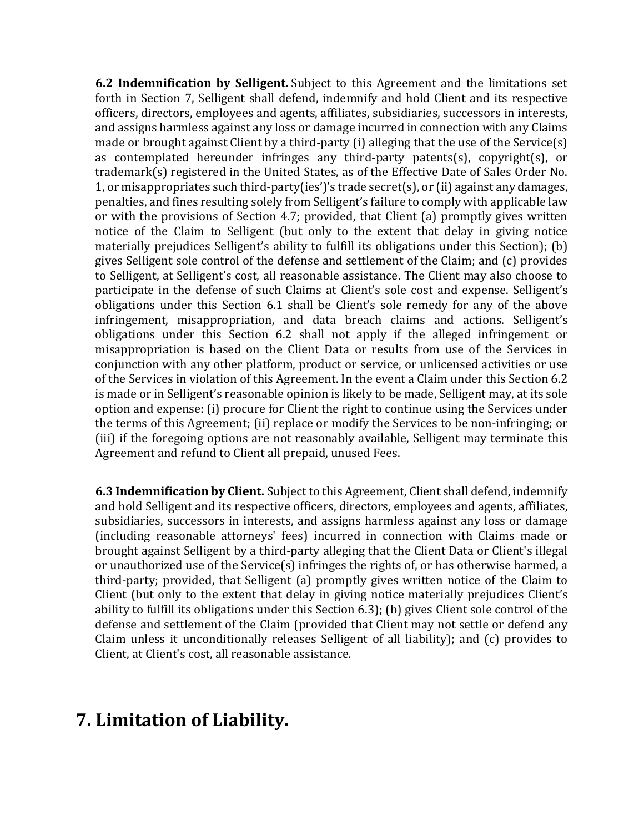**6.2 Indemnification by Selligent.** Subject to this Agreement and the limitations set forth in Section 7, Selligent shall defend, indemnify and hold Client and its respective officers, directors, employees and agents, affiliates, subsidiaries, successors in interests, and assigns harmless against any loss or damage incurred in connection with any Claims made or brought against Client by a third-party (i) alleging that the use of the Service(s) as contemplated hereunder infringes any third-party patents(s), copyright(s), or trademark(s) registered in the United States, as of the Effective Date of Sales Order No. 1, or misappropriates such third-party(ies')'s trade secret(s), or (ii) against any damages, penalties, and fines resulting solely from Selligent's failure to comply with applicable law or with the provisions of Section 4.7; provided, that Client (a) promptly gives written notice of the Claim to Selligent (but only to the extent that delay in giving notice materially prejudices Selligent's ability to fulfill its obligations under this Section); (b) gives Selligent sole control of the defense and settlement of the Claim; and (c) provides to Selligent, at Selligent's cost, all reasonable assistance. The Client may also choose to participate in the defense of such Claims at Client's sole cost and expense. Selligent's obligations under this Section 6.1 shall be Client's sole remedy for any of the above infringement, misappropriation, and data breach claims and actions. Selligent's obligations under this Section 6.2 shall not apply if the alleged infringement or misappropriation is based on the Client Data or results from use of the Services in conjunction with any other platform, product or service, or unlicensed activities or use of the Services in violation of this Agreement. In the event a Claim under this Section 6.2 is made or in Selligent's reasonable opinion is likely to be made, Selligent may, at its sole option and expense: (i) procure for Client the right to continue using the Services under the terms of this Agreement; (ii) replace or modify the Services to be non-infringing; or (iii) if the foregoing options are not reasonably available, Selligent may terminate this Agreement and refund to Client all prepaid, unused Fees.

**6.3 Indemnification by Client.** Subject to this Agreement, Client shall defend, indemnify and hold Selligent and its respective officers, directors, employees and agents, affiliates, subsidiaries, successors in interests, and assigns harmless against any loss or damage (including reasonable attorneys' fees) incurred in connection with Claims made or brought against Selligent by a third-party alleging that the Client Data or Client's illegal or unauthorized use of the Service(s) infringes the rights of, or has otherwise harmed, a third-party; provided, that Selligent (a) promptly gives written notice of the Claim to Client (but only to the extent that delay in giving notice materially prejudices Client's ability to fulfill its obligations under this Section 6.3); (b) gives Client sole control of the defense and settlement of the Claim (provided that Client may not settle or defend any Claim unless it unconditionally releases Selligent of all liability); and (c) provides to Client, at Client's cost, all reasonable assistance.

### **7. Limitation of Liability.**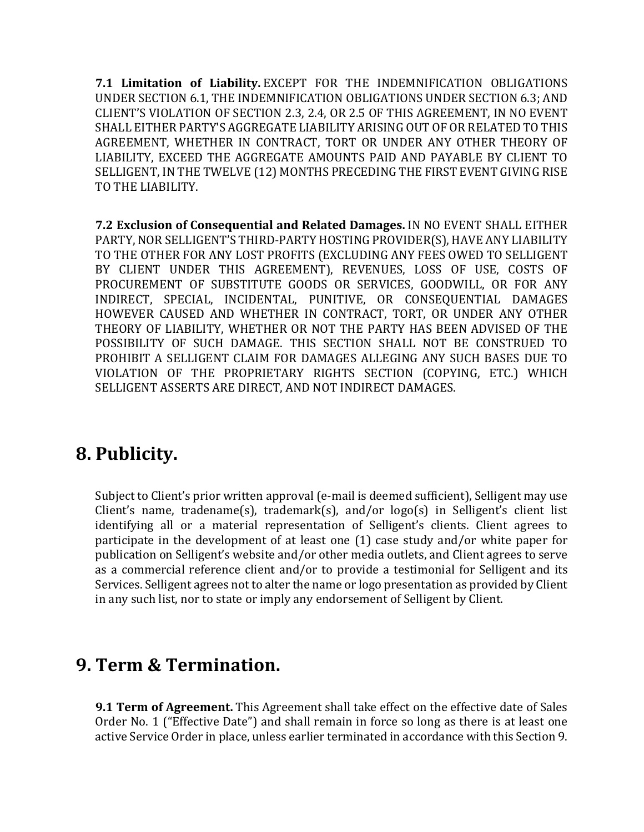**7.1 Limitation of Liability.** EXCEPT FOR THE INDEMNIFICATION OBLIGATIONS UNDER SECTION 6.1, THE INDEMNIFICATION OBLIGATIONS UNDER SECTION 6.3; AND CLIENT'S VIOLATION OF SECTION 2.3, 2.4, OR 2.5 OF THIS AGREEMENT, IN NO EVENT SHALL EITHER PARTY'S AGGREGATE LIABILITY ARISING OUT OF OR RELATED TO THIS AGREEMENT, WHETHER IN CONTRACT, TORT OR UNDER ANY OTHER THEORY OF LIABILITY, EXCEED THE AGGREGATE AMOUNTS PAID AND PAYABLE BY CLIENT TO SELLIGENT, IN THE TWELVE (12) MONTHS PRECEDING THE FIRST EVENT GIVING RISE TO THE LIABILITY.

**7.2 Exclusion of Consequential and Related Damages.** IN NO EVENT SHALL EITHER PARTY, NOR SELLIGENT'S THIRD-PARTY HOSTING PROVIDER(S), HAVE ANY LIABILITY TO THE OTHER FOR ANY LOST PROFITS (EXCLUDING ANY FEES OWED TO SELLIGENT BY CLIENT UNDER THIS AGREEMENT), REVENUES, LOSS OF USE, COSTS OF PROCUREMENT OF SUBSTITUTE GOODS OR SERVICES, GOODWILL, OR FOR ANY INDIRECT, SPECIAL, INCIDENTAL, PUNITIVE, OR CONSEQUENTIAL DAMAGES HOWEVER CAUSED AND WHETHER IN CONTRACT, TORT, OR UNDER ANY OTHER THEORY OF LIABILITY, WHETHER OR NOT THE PARTY HAS BEEN ADVISED OF THE POSSIBILITY OF SUCH DAMAGE. THIS SECTION SHALL NOT BE CONSTRUED TO PROHIBIT A SELLIGENT CLAIM FOR DAMAGES ALLEGING ANY SUCH BASES DUE TO VIOLATION OF THE PROPRIETARY RIGHTS SECTION (COPYING, ETC.) WHICH SELLIGENT ASSERTS ARE DIRECT, AND NOT INDIRECT DAMAGES.

## **8. Publicity.**

Subject to Client's prior written approval (e-mail is deemed sufficient), Selligent may use Client's name, tradename(s), trademark(s), and/or logo(s) in Selligent's client list identifying all or a material representation of Selligent's clients. Client agrees to participate in the development of at least one (1) case study and/or white paper for publication on Selligent's website and/or other media outlets, and Client agrees to serve as a commercial reference client and/or to provide a testimonial for Selligent and its Services. Selligent agrees not to alter the name or logo presentation as provided by Client in any such list, nor to state or imply any endorsement of Selligent by Client.

### **9. Term & Termination.**

**9.1 Term of Agreement.** This Agreement shall take effect on the effective date of Sales Order No. 1 ("Effective Date") and shall remain in force so long as there is at least one active Service Order in place, unless earlier terminated in accordance with this Section 9.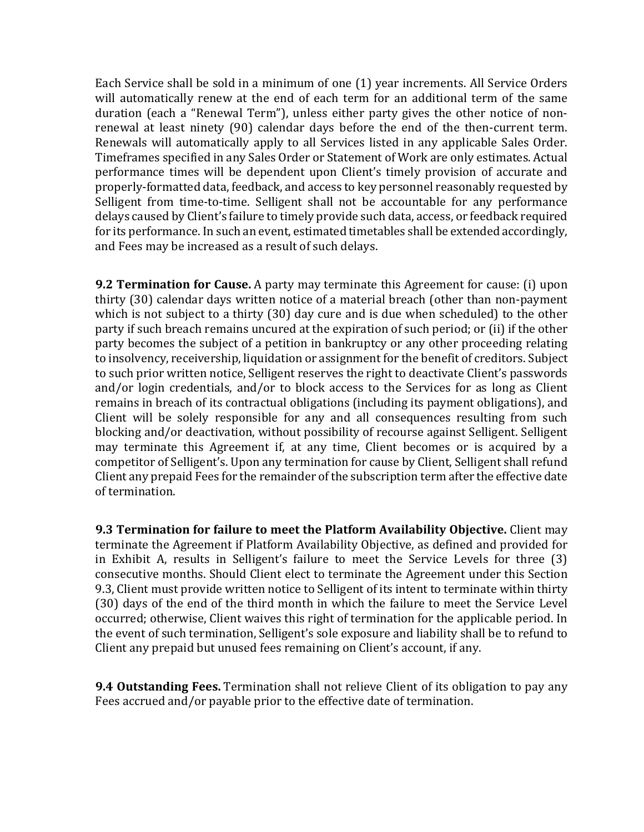Each Service shall be sold in a minimum of one (1) year increments. All Service Orders will automatically renew at the end of each term for an additional term of the same duration (each a "Renewal Term"), unless either party gives the other notice of nonrenewal at least ninety (90) calendar days before the end of the then-current term. Renewals will automatically apply to all Services listed in any applicable Sales Order. Timeframes specified in any Sales Order or Statement of Work are only estimates. Actual performance times will be dependent upon Client's timely provision of accurate and properly-formatted data, feedback, and access to key personnel reasonably requested by Selligent from time-to-time. Selligent shall not be accountable for any performance delays caused by Client's failure to timely provide such data, access, or feedback required for its performance. In such an event, estimated timetables shall be extended accordingly, and Fees may be increased as a result of such delays.

**9.2 Termination for Cause.** A party may terminate this Agreement for cause: (i) upon thirty (30) calendar days written notice of a material breach (other than non-payment which is not subject to a thirty (30) day cure and is due when scheduled) to the other party if such breach remains uncured at the expiration of such period; or (ii) if the other party becomes the subject of a petition in bankruptcy or any other proceeding relating to insolvency, receivership, liquidation or assignment for the benefit of creditors. Subject to such prior written notice, Selligent reserves the right to deactivate Client's passwords and/or login credentials, and/or to block access to the Services for as long as Client remains in breach of its contractual obligations (including its payment obligations), and Client will be solely responsible for any and all consequences resulting from such blocking and/or deactivation, without possibility of recourse against Selligent. Selligent may terminate this Agreement if, at any time, Client becomes or is acquired by a competitor of Selligent's. Upon any termination for cause by Client, Selligent shall refund Client any prepaid Fees for the remainder of the subscription term after the effective date of termination.

**9.3 Termination for failure to meet the Platform Availability Objective.** Client may terminate the Agreement if Platform Availability Objective, as defined and provided for in Exhibit A, results in Selligent's failure to meet the Service Levels for three (3) consecutive months. Should Client elect to terminate the Agreement under this Section 9.3, Client must provide written notice to Selligent of its intent to terminate within thirty (30) days of the end of the third month in which the failure to meet the Service Level occurred; otherwise, Client waives this right of termination for the applicable period. In the event of such termination, Selligent's sole exposure and liability shall be to refund to Client any prepaid but unused fees remaining on Client's account, if any.

**9.4 Outstanding Fees.** Termination shall not relieve Client of its obligation to pay any Fees accrued and/or payable prior to the effective date of termination.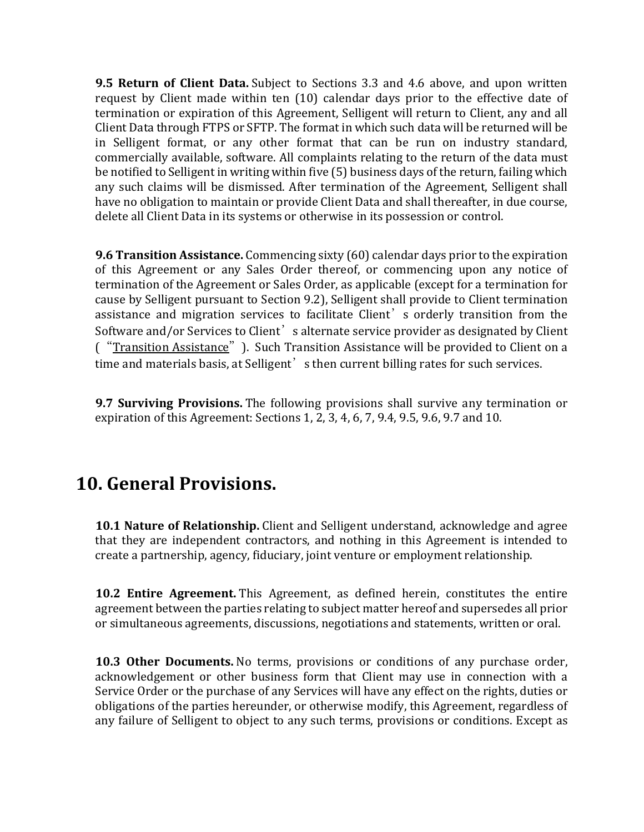**9.5 Return of Client Data.** Subject to Sections 3.3 and 4.6 above, and upon written request by Client made within ten (10) calendar days prior to the effective date of termination or expiration of this Agreement, Selligent will return to Client, any and all Client Data through FTPS or SFTP. The format in which such data will be returned will be in Selligent format, or any other format that can be run on industry standard, commercially available, software. All complaints relating to the return of the data must be notified to Selligent in writing within five (5) business days of the return, failing which any such claims will be dismissed. After termination of the Agreement, Selligent shall have no obligation to maintain or provide Client Data and shall thereafter, in due course, delete all Client Data in its systems or otherwise in its possession or control.

**9.6 Transition Assistance.** Commencing sixty (60) calendar days prior to the expiration of this Agreement or any Sales Order thereof, or commencing upon any notice of termination of the Agreement or Sales Order, as applicable (except for a termination for cause by Selligent pursuant to Section 9.2), Selligent shall provide to Client termination assistance and migration services to facilitate Client's orderly transition from the Software and/or Services to Client<sup>'</sup>s alternate service provider as designated by Client ("Transition Assistance"). Such Transition Assistance will be provided to Client on a time and materials basis, at Selligent' s then current billing rates for such services.

**9.7 Surviving Provisions.** The following provisions shall survive any termination or expiration of this Agreement: Sections 1, 2, 3, 4, 6, 7, 9.4, 9.5, 9.6, 9.7 and 10.

### **10. General Provisions.**

**10.1 Nature of Relationship.** Client and Selligent understand, acknowledge and agree that they are independent contractors, and nothing in this Agreement is intended to create a partnership, agency, fiduciary, joint venture or employment relationship.

**10.2 Entire Agreement.** This Agreement, as defined herein, constitutes the entire agreement between the parties relating to subject matter hereof and supersedes all prior or simultaneous agreements, discussions, negotiations and statements, written or oral.

**10.3 Other Documents.** No terms, provisions or conditions of any purchase order, acknowledgement or other business form that Client may use in connection with a Service Order or the purchase of any Services will have any effect on the rights, duties or obligations of the parties hereunder, or otherwise modify, this Agreement, regardless of any failure of Selligent to object to any such terms, provisions or conditions. Except as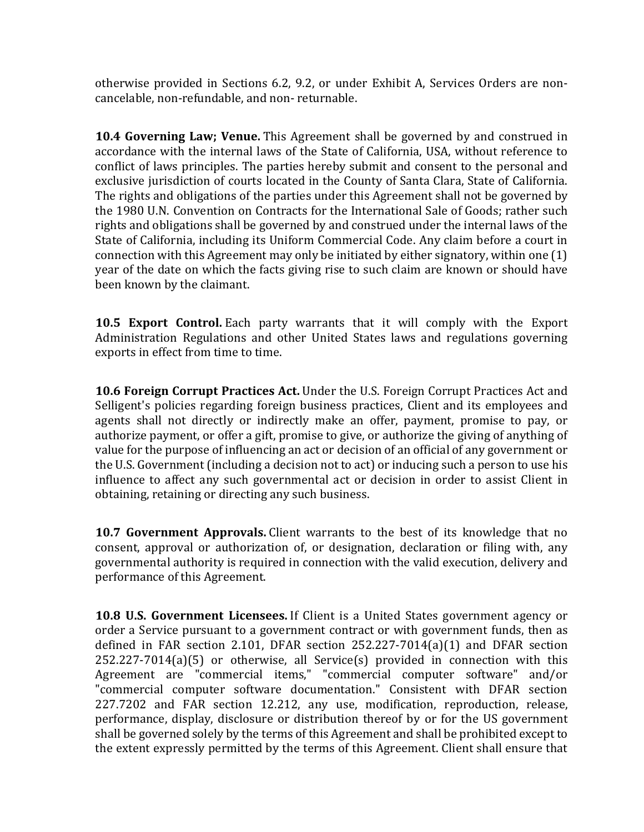otherwise provided in Sections 6.2, 9.2, or under Exhibit A, Services Orders are noncancelable, non-refundable, and non- returnable.

**10.4 Governing Law; Venue.** This Agreement shall be governed by and construed in accordance with the internal laws of the State of California, USA, without reference to conflict of laws principles. The parties hereby submit and consent to the personal and exclusive jurisdiction of courts located in the County of Santa Clara, State of California. The rights and obligations of the parties under this Agreement shall not be governed by the 1980 U.N. Convention on Contracts for the International Sale of Goods; rather such rights and obligations shall be governed by and construed under the internal laws of the State of California, including its Uniform Commercial Code. Any claim before a court in connection with this Agreement may only be initiated by either signatory, within one (1) year of the date on which the facts giving rise to such claim are known or should have been known by the claimant.

**10.5 Export Control.** Each party warrants that it will comply with the Export Administration Regulations and other United States laws and regulations governing exports in effect from time to time.

**10.6 Foreign Corrupt Practices Act.** Under the U.S. Foreign Corrupt Practices Act and Selligent's policies regarding foreign business practices, Client and its employees and agents shall not directly or indirectly make an offer, payment, promise to pay, or authorize payment, or offer a gift, promise to give, or authorize the giving of anything of value for the purpose of influencing an act or decision of an official of any government or the U.S. Government (including a decision not to act) or inducing such a person to use his influence to affect any such governmental act or decision in order to assist Client in obtaining, retaining or directing any such business.

**10.7 Government Approvals.** Client warrants to the best of its knowledge that no consent, approval or authorization of, or designation, declaration or filing with, any governmental authority is required in connection with the valid execution, delivery and performance of this Agreement.

**10.8 U.S. Government Licensees.** If Client is a United States government agency or order a Service pursuant to a government contract or with government funds, then as defined in FAR section 2.101, DFAR section 252.227-7014(a)(1) and DFAR section 252.227-7014(a)(5) or otherwise, all Service(s) provided in connection with this Agreement are "commercial items," "commercial computer software" and/or "commercial computer software documentation." Consistent with DFAR section 227.7202 and FAR section 12.212, any use, modification, reproduction, release, performance, display, disclosure or distribution thereof by or for the US government shall be governed solely by the terms of this Agreement and shall be prohibited except to the extent expressly permitted by the terms of this Agreement. Client shall ensure that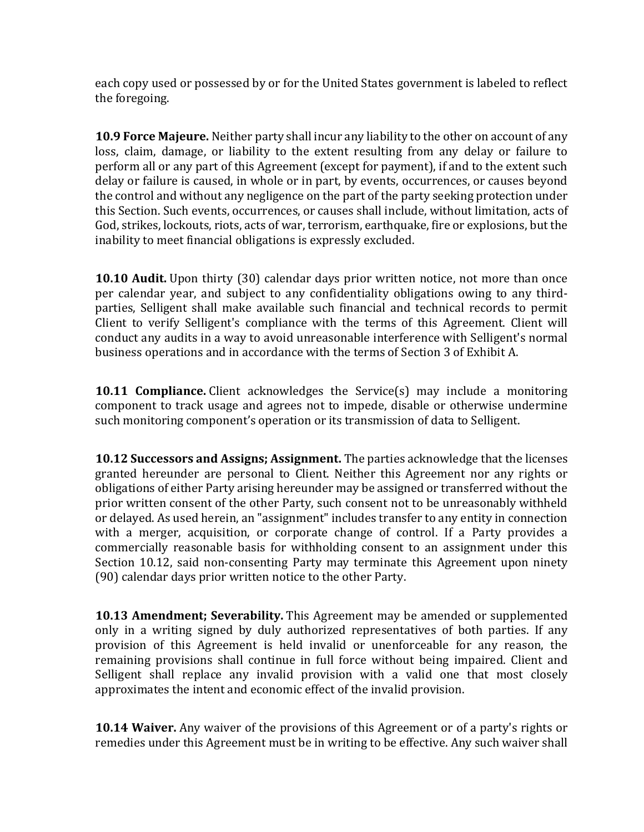each copy used or possessed by or for the United States government is labeled to reflect the foregoing.

**10.9 Force Majeure.** Neither party shall incur any liability to the other on account of any loss, claim, damage, or liability to the extent resulting from any delay or failure to perform all or any part of this Agreement (except for payment), if and to the extent such delay or failure is caused, in whole or in part, by events, occurrences, or causes beyond the control and without any negligence on the part of the party seeking protection under this Section. Such events, occurrences, or causes shall include, without limitation, acts of God, strikes, lockouts, riots, acts of war, terrorism, earthquake, fire or explosions, but the inability to meet financial obligations is expressly excluded.

**10.10 Audit.** Upon thirty (30) calendar days prior written notice, not more than once per calendar year, and subject to any confidentiality obligations owing to any thirdparties, Selligent shall make available such financial and technical records to permit Client to verify Selligent's compliance with the terms of this Agreement. Client will conduct any audits in a way to avoid unreasonable interference with Selligent's normal business operations and in accordance with the terms of Section 3 of Exhibit A.

**10.11 Compliance.** Client acknowledges the Service(s) may include a monitoring component to track usage and agrees not to impede, disable or otherwise undermine such monitoring component's operation or its transmission of data to Selligent.

**10.12 Successors and Assigns; Assignment.** The parties acknowledge that the licenses granted hereunder are personal to Client. Neither this Agreement nor any rights or obligations of either Party arising hereunder may be assigned or transferred without the prior written consent of the other Party, such consent not to be unreasonably withheld or delayed. As used herein, an "assignment" includes transfer to any entity in connection with a merger, acquisition, or corporate change of control. If a Party provides a commercially reasonable basis for withholding consent to an assignment under this Section 10.12, said non-consenting Party may terminate this Agreement upon ninety (90) calendar days prior written notice to the other Party.

**10.13 Amendment; Severability.** This Agreement may be amended or supplemented only in a writing signed by duly authorized representatives of both parties. If any provision of this Agreement is held invalid or unenforceable for any reason, the remaining provisions shall continue in full force without being impaired. Client and Selligent shall replace any invalid provision with a valid one that most closely approximates the intent and economic effect of the invalid provision.

**10.14 Waiver.** Any waiver of the provisions of this Agreement or of a party's rights or remedies under this Agreement must be in writing to be effective. Any such waiver shall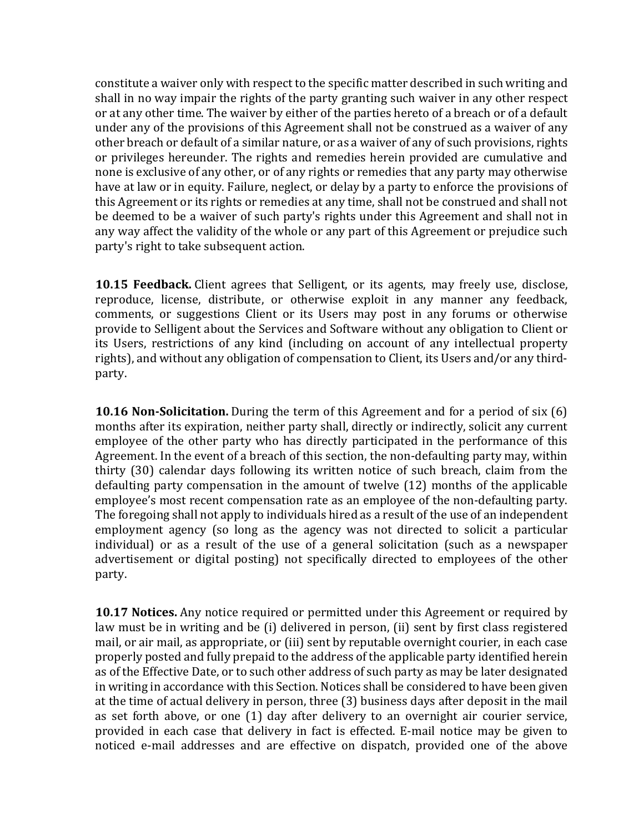constitute a waiver only with respect to the specific matter described in such writing and shall in no way impair the rights of the party granting such waiver in any other respect or at any other time. The waiver by either of the parties hereto of a breach or of a default under any of the provisions of this Agreement shall not be construed as a waiver of any other breach or default of a similar nature, or as a waiver of any of such provisions, rights or privileges hereunder. The rights and remedies herein provided are cumulative and none is exclusive of any other, or of any rights or remedies that any party may otherwise have at law or in equity. Failure, neglect, or delay by a party to enforce the provisions of this Agreement or its rights or remedies at any time, shall not be construed and shall not be deemed to be a waiver of such party's rights under this Agreement and shall not in any way affect the validity of the whole or any part of this Agreement or prejudice such party's right to take subsequent action.

**10.15 Feedback.** Client agrees that Selligent, or its agents, may freely use, disclose, reproduce, license, distribute, or otherwise exploit in any manner any feedback, comments, or suggestions Client or its Users may post in any forums or otherwise provide to Selligent about the Services and Software without any obligation to Client or its Users, restrictions of any kind (including on account of any intellectual property rights), and without any obligation of compensation to Client, its Users and/or any thirdparty.

**10.16 Non-Solicitation.** During the term of this Agreement and for a period of six (6) months after its expiration, neither party shall, directly or indirectly, solicit any current employee of the other party who has directly participated in the performance of this Agreement. In the event of a breach of this section, the non-defaulting party may, within thirty (30) calendar days following its written notice of such breach, claim from the defaulting party compensation in the amount of twelve (12) months of the applicable employee's most recent compensation rate as an employee of the non-defaulting party. The foregoing shall not apply to individuals hired as a result of the use of an independent employment agency (so long as the agency was not directed to solicit a particular individual) or as a result of the use of a general solicitation (such as a newspaper advertisement or digital posting) not specifically directed to employees of the other party.

**10.17 Notices.** Any notice required or permitted under this Agreement or required by law must be in writing and be (i) delivered in person, (ii) sent by first class registered mail, or air mail, as appropriate, or (iii) sent by reputable overnight courier, in each case properly posted and fully prepaid to the address of the applicable party identified herein as of the Effective Date, or to such other address of such party as may be later designated in writing in accordance with this Section. Notices shall be considered to have been given at the time of actual delivery in person, three (3) business days after deposit in the mail as set forth above, or one (1) day after delivery to an overnight air courier service, provided in each case that delivery in fact is effected. E-mail notice may be given to noticed e-mail addresses and are effective on dispatch, provided one of the above